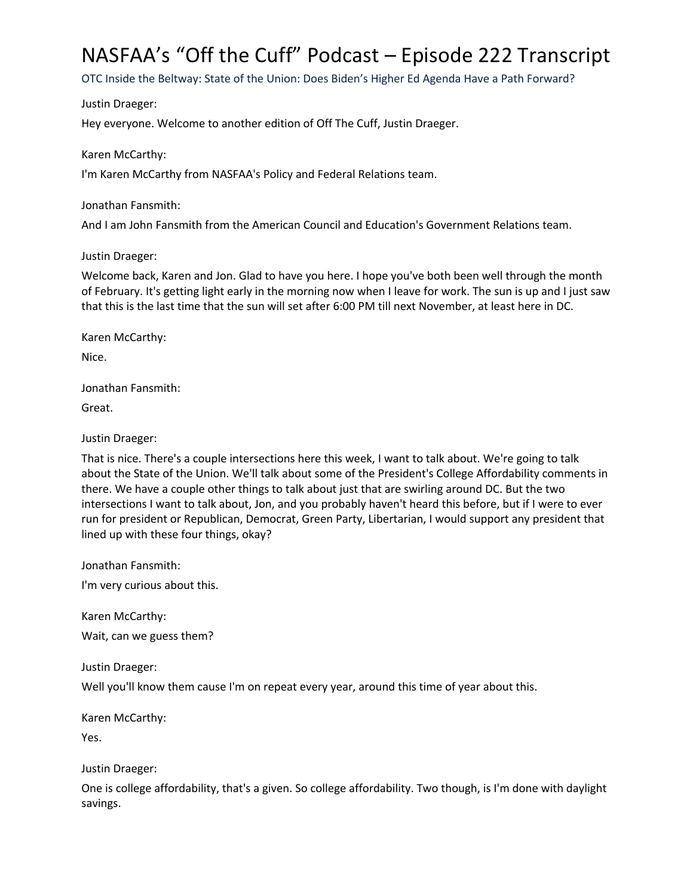# NASFAA's "Off the Cuff" Podcast – Episode 222 Transcript

OTC Inside the Beltway: State of the Union: Does Biden's Higher Ed Agenda Have a Path Forward?

Justin Draeger:

Hey everyone. Welcome to another edition of Off The Cuff, Justin Draeger.

Karen McCarthy:

I'm Karen McCarthy from NASFAA's Policy and Federal Relations team.

Jonathan Fansmith:

And I am John Fansmith from the American Council and Education's Government Relations team.

## Justin Draeger:

Welcome back, Karen and Jon. Glad to have you here. I hope you've both been well through the month of February. It's getting light early in the morning now when I leave for work. The sun is up and I just saw that this is the last time that the sun will set after 6:00 PM till next November, at least here in DC.

Karen McCarthy:

Nice.

Jonathan Fansmith:

Great.

# Justin Draeger:

That is nice. There's a couple intersections here this week, I want to talk about. We're going to talk about the State of the Union. We'll talk about some of the President's College Affordability comments in there. We have a couple other things to talk about just that are swirling around DC. But the two intersections I want to talk about, Jon, and you probably haven't heard this before, but if I were to ever run for president or Republican, Democrat, Green Party, Libertarian, I would support any president that lined up with these four things, okay?

Jonathan Fansmith:

I'm very curious about this.

Karen McCarthy:

Wait, can we guess them?

Justin Draeger:

Well you'll know them cause I'm on repeat every year, around this time of year about this.

Karen McCarthy:

Yes.

Justin Draeger:

One is college affordability, that's a given. So college affordability. Two though, is I'm done with daylight savings.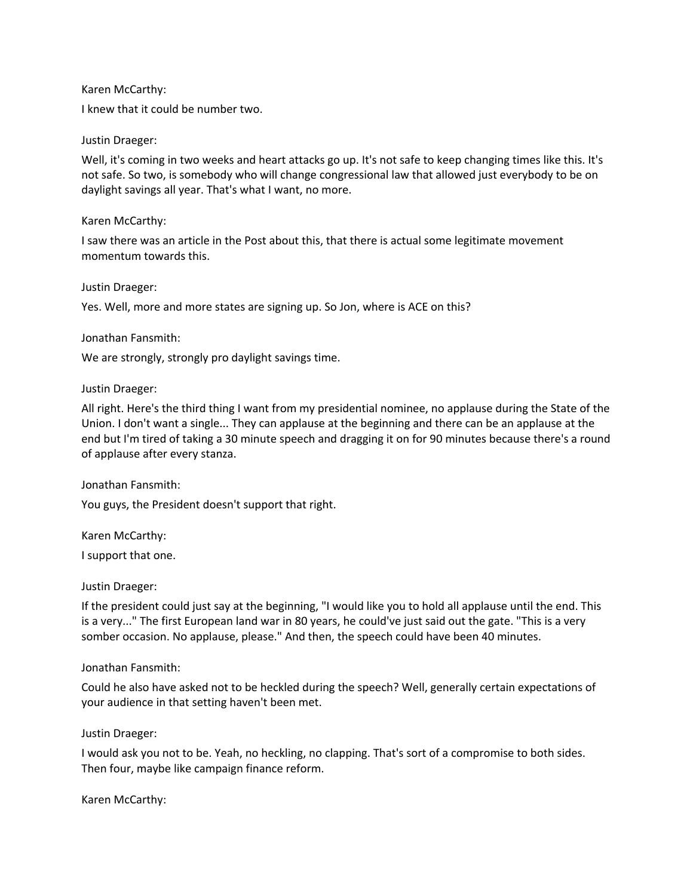Karen McCarthy:

I knew that it could be number two.

## Justin Draeger:

Well, it's coming in two weeks and heart attacks go up. It's not safe to keep changing times like this. It's not safe. So two, is somebody who will change congressional law that allowed just everybody to be on daylight savings all year. That's what I want, no more.

## Karen McCarthy:

I saw there was an article in the Post about this, that there is actual some legitimate movement momentum towards this.

#### Justin Draeger:

Yes. Well, more and more states are signing up. So Jon, where is ACE on this?

## Jonathan Fansmith:

We are strongly, strongly pro daylight savings time.

## Justin Draeger:

All right. Here's the third thing I want from my presidential nominee, no applause during the State of the Union. I don't want a single... They can applause at the beginning and there can be an applause at the end but I'm tired of taking a 30 minute speech and dragging it on for 90 minutes because there's a round of applause after every stanza.

Jonathan Fansmith:

You guys, the President doesn't support that right.

Karen McCarthy:

I support that one.

#### Justin Draeger:

If the president could just say at the beginning, "I would like you to hold all applause until the end. This is a very..." The first European land war in 80 years, he could've just said out the gate. "This is a very somber occasion. No applause, please." And then, the speech could have been 40 minutes.

#### Jonathan Fansmith:

Could he also have asked not to be heckled during the speech? Well, generally certain expectations of your audience in that setting haven't been met.

#### Justin Draeger:

I would ask you not to be. Yeah, no heckling, no clapping. That's sort of a compromise to both sides. Then four, maybe like campaign finance reform.

Karen McCarthy: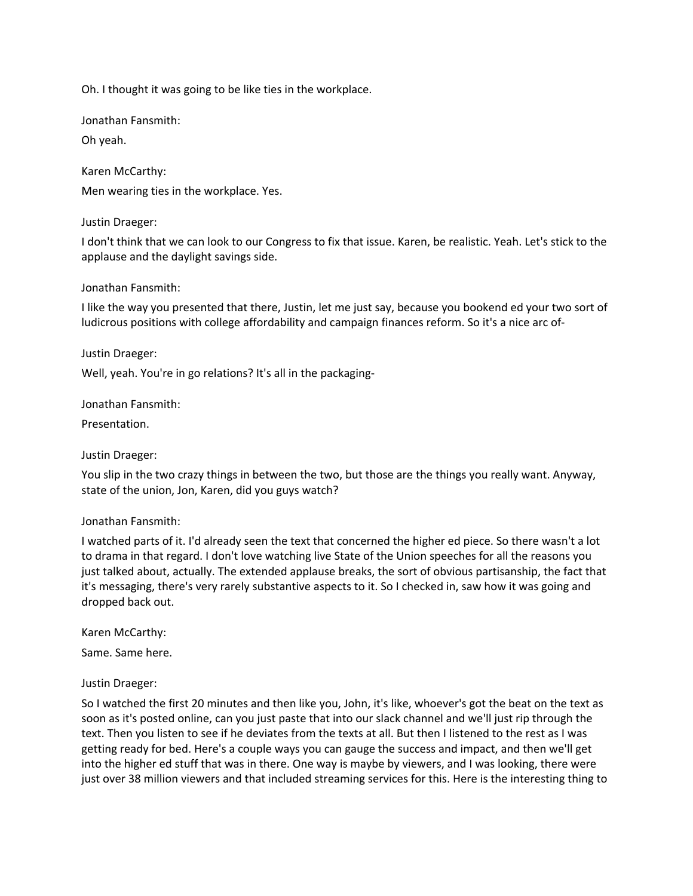Oh. I thought it was going to be like ties in the workplace.

Jonathan Fansmith:

Oh yeah.

Karen McCarthy: Men wearing ties in the workplace. Yes.

## Justin Draeger:

I don't think that we can look to our Congress to fix that issue. Karen, be realistic. Yeah. Let's stick to the applause and the daylight savings side.

## Jonathan Fansmith:

I like the way you presented that there, Justin, let me just say, because you bookend ed your two sort of ludicrous positions with college affordability and campaign finances reform. So it's a nice arc of-

## Justin Draeger:

Well, yeah. You're in go relations? It's all in the packaging-

Jonathan Fansmith:

Presentation.

# Justin Draeger:

You slip in the two crazy things in between the two, but those are the things you really want. Anyway, state of the union, Jon, Karen, did you guys watch?

#### Jonathan Fansmith:

I watched parts of it. I'd already seen the text that concerned the higher ed piece. So there wasn't a lot to drama in that regard. I don't love watching live State of the Union speeches for all the reasons you just talked about, actually. The extended applause breaks, the sort of obvious partisanship, the fact that it's messaging, there's very rarely substantive aspects to it. So I checked in, saw how it was going and dropped back out.

Karen McCarthy: Same. Same here.

#### Justin Draeger:

So I watched the first 20 minutes and then like you, John, it's like, whoever's got the beat on the text as soon as it's posted online, can you just paste that into our slack channel and we'll just rip through the text. Then you listen to see if he deviates from the texts at all. But then I listened to the rest as I was getting ready for bed. Here's a couple ways you can gauge the success and impact, and then we'll get into the higher ed stuff that was in there. One way is maybe by viewers, and I was looking, there were just over 38 million viewers and that included streaming services for this. Here is the interesting thing to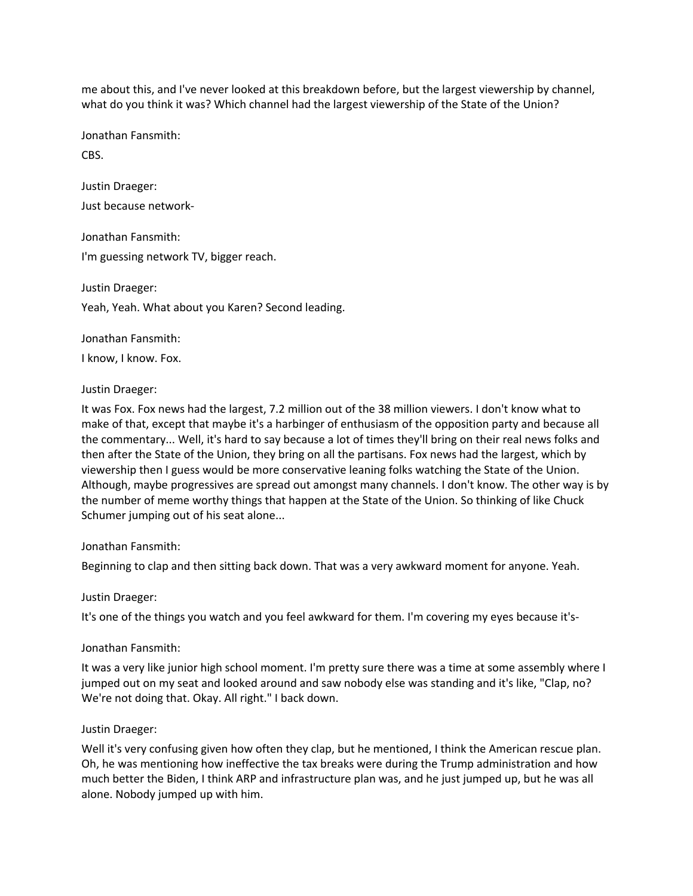me about this, and I've never looked at this breakdown before, but the largest viewership by channel, what do you think it was? Which channel had the largest viewership of the State of the Union?

Jonathan Fansmith:

CBS.

Justin Draeger:

Just because network-

Jonathan Fansmith:

I'm guessing network TV, bigger reach.

Justin Draeger: Yeah, Yeah. What about you Karen? Second leading.

Jonathan Fansmith:

I know, I know. Fox.

## Justin Draeger:

It was Fox. Fox news had the largest, 7.2 million out of the 38 million viewers. I don't know what to make of that, except that maybe it's a harbinger of enthusiasm of the opposition party and because all the commentary... Well, it's hard to say because a lot of times they'll bring on their real news folks and then after the State of the Union, they bring on all the partisans. Fox news had the largest, which by viewership then I guess would be more conservative leaning folks watching the State of the Union. Although, maybe progressives are spread out amongst many channels. I don't know. The other way is by the number of meme worthy things that happen at the State of the Union. So thinking of like Chuck Schumer jumping out of his seat alone...

#### Jonathan Fansmith:

Beginning to clap and then sitting back down. That was a very awkward moment for anyone. Yeah.

#### Justin Draeger:

It's one of the things you watch and you feel awkward for them. I'm covering my eyes because it's-

# Jonathan Fansmith:

It was a very like junior high school moment. I'm pretty sure there was a time at some assembly where I jumped out on my seat and looked around and saw nobody else was standing and it's like, "Clap, no? We're not doing that. Okay. All right." I back down.

#### Justin Draeger:

Well it's very confusing given how often they clap, but he mentioned, I think the American rescue plan. Oh, he was mentioning how ineffective the tax breaks were during the Trump administration and how much better the Biden, I think ARP and infrastructure plan was, and he just jumped up, but he was all alone. Nobody jumped up with him.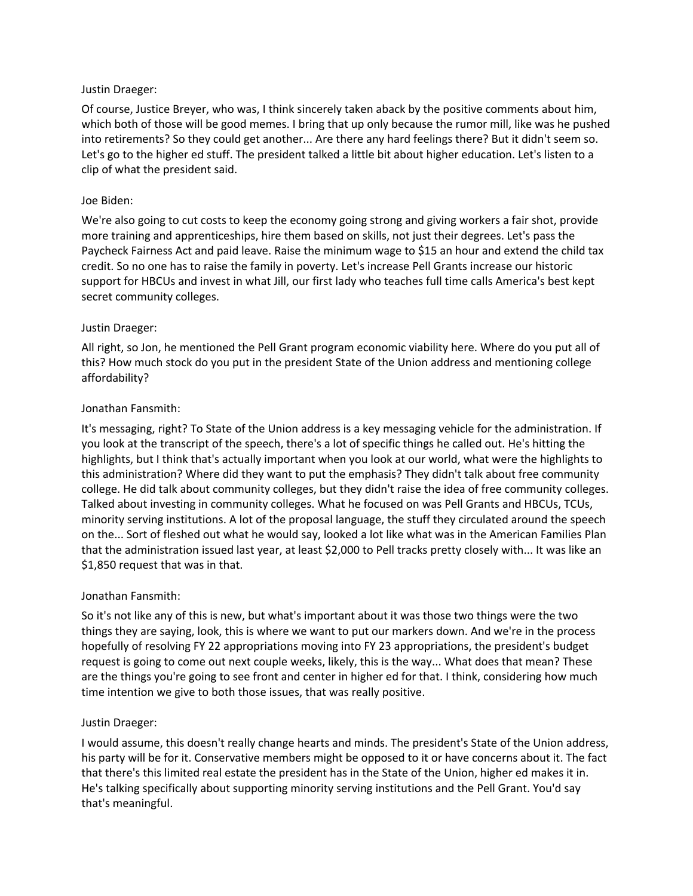# Justin Draeger:

Of course, Justice Breyer, who was, I think sincerely taken aback by the positive comments about him, which both of those will be good memes. I bring that up only because the rumor mill, like was he pushed into retirements? So they could get another... Are there any hard feelings there? But it didn't seem so. Let's go to the higher ed stuff. The president talked a little bit about higher education. Let's listen to a clip of what the president said.

# Joe Biden:

We're also going to cut costs to keep the economy going strong and giving workers a fair shot, provide more training and apprenticeships, hire them based on skills, not just their degrees. Let's pass the Paycheck Fairness Act and paid leave. Raise the minimum wage to \$15 an hour and extend the child tax credit. So no one has to raise the family in poverty. Let's increase Pell Grants increase our historic support for HBCUs and invest in what Jill, our first lady who teaches full time calls America's best kept secret community colleges.

# Justin Draeger:

All right, so Jon, he mentioned the Pell Grant program economic viability here. Where do you put all of this? How much stock do you put in the president State of the Union address and mentioning college affordability?

# Jonathan Fansmith:

It's messaging, right? To State of the Union address is a key messaging vehicle for the administration. If you look at the transcript of the speech, there's a lot of specific things he called out. He's hitting the highlights, but I think that's actually important when you look at our world, what were the highlights to this administration? Where did they want to put the emphasis? They didn't talk about free community college. He did talk about community colleges, but they didn't raise the idea of free community colleges. Talked about investing in community colleges. What he focused on was Pell Grants and HBCUs, TCUs, minority serving institutions. A lot of the proposal language, the stuff they circulated around the speech on the... Sort of fleshed out what he would say, looked a lot like what was in the American Families Plan that the administration issued last year, at least \$2,000 to Pell tracks pretty closely with... It was like an \$1,850 request that was in that.

# Jonathan Fansmith:

So it's not like any of this is new, but what's important about it was those two things were the two things they are saying, look, this is where we want to put our markers down. And we're in the process hopefully of resolving FY 22 appropriations moving into FY 23 appropriations, the president's budget request is going to come out next couple weeks, likely, this is the way... What does that mean? These are the things you're going to see front and center in higher ed for that. I think, considering how much time intention we give to both those issues, that was really positive.

# Justin Draeger:

I would assume, this doesn't really change hearts and minds. The president's State of the Union address, his party will be for it. Conservative members might be opposed to it or have concerns about it. The fact that there's this limited real estate the president has in the State of the Union, higher ed makes it in. He's talking specifically about supporting minority serving institutions and the Pell Grant. You'd say that's meaningful.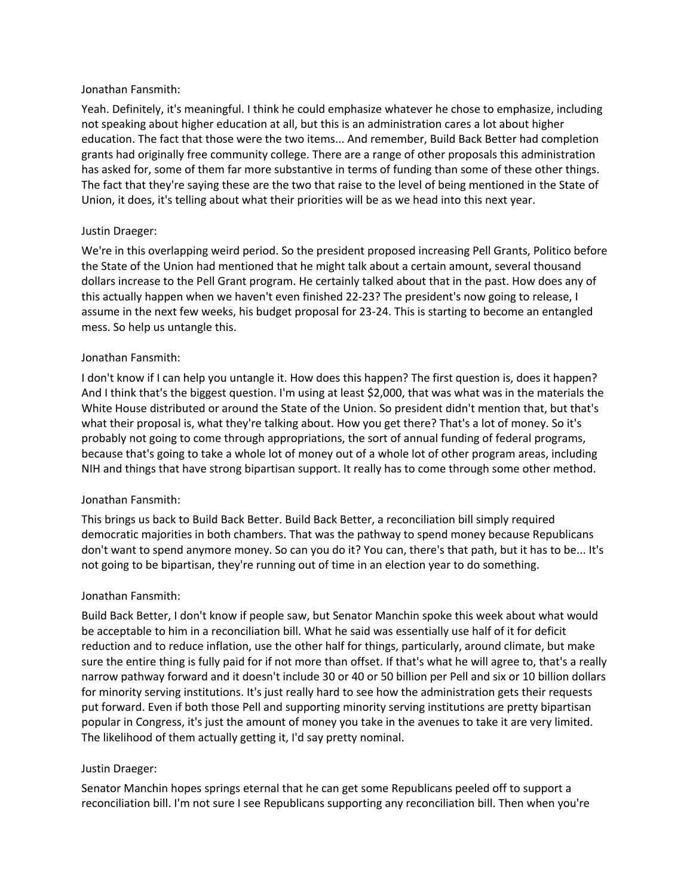## Jonathan Fansmith:

Yeah. Definitely, it's meaningful. I think he could emphasize whatever he chose to emphasize, including not speaking about higher education at all, but this is an administration cares a lot about higher education. The fact that those were the two items... And remember, Build Back Better had completion grants had originally free community college. There are a range of other proposals this administration has asked for, some of them far more substantive in terms of funding than some of these other things. The fact that they're saying these are the two that raise to the level of being mentioned in the State of Union, it does, it's telling about what their priorities will be as we head into this next year.

# Justin Draeger:

We're in this overlapping weird period. So the president proposed increasing Pell Grants, Politico before the State of the Union had mentioned that he might talk about a certain amount, several thousand dollars increase to the Pell Grant program. He certainly talked about that in the past. How does any of this actually happen when we haven't even finished 22-23? The president's now going to release, I assume in the next few weeks, his budget proposal for 23-24. This is starting to become an entangled mess. So help us untangle this.

# Jonathan Fansmith:

I don't know if I can help you untangle it. How does this happen? The first question is, does it happen? And I think that's the biggest question. I'm using at least \$2,000, that was what was in the materials the White House distributed or around the State of the Union. So president didn't mention that, but that's what their proposal is, what they're talking about. How you get there? That's a lot of money. So it's probably not going to come through appropriations, the sort of annual funding of federal programs, because that's going to take a whole lot of money out of a whole lot of other program areas, including NIH and things that have strong bipartisan support. It really has to come through some other method.

# Jonathan Fansmith:

This brings us back to Build Back Better. Build Back Better, a reconciliation bill simply required democratic majorities in both chambers. That was the pathway to spend money because Republicans don't want to spend anymore money. So can you do it? You can, there's that path, but it has to be... It's not going to be bipartisan, they're running out of time in an election year to do something.

# Jonathan Fansmith:

Build Back Better, I don't know if people saw, but Senator Manchin spoke this week about what would be acceptable to him in a reconciliation bill. What he said was essentially use half of it for deficit reduction and to reduce inflation, use the other half for things, particularly, around climate, but make sure the entire thing is fully paid for if not more than offset. If that's what he will agree to, that's a really narrow pathway forward and it doesn't include 30 or 40 or 50 billion per Pell and six or 10 billion dollars for minority serving institutions. It's just really hard to see how the administration gets their requests put forward. Even if both those Pell and supporting minority serving institutions are pretty bipartisan popular in Congress, it's just the amount of money you take in the avenues to take it are very limited. The likelihood of them actually getting it, I'd say pretty nominal.

# Justin Draeger:

Senator Manchin hopes springs eternal that he can get some Republicans peeled off to support a reconciliation bill. I'm not sure I see Republicans supporting any reconciliation bill. Then when you're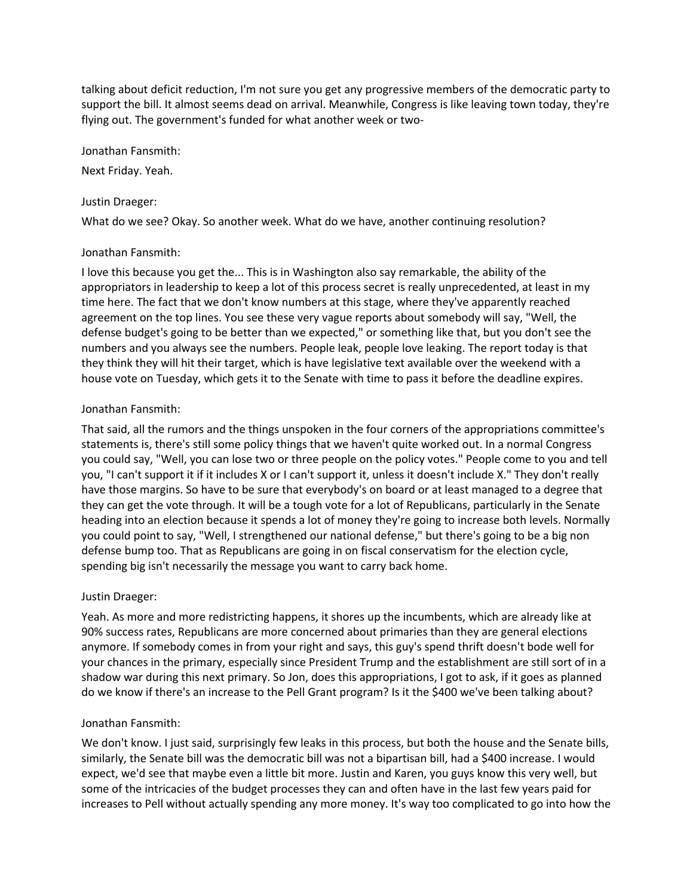talking about deficit reduction, I'm not sure you get any progressive members of the democratic party to support the bill. It almost seems dead on arrival. Meanwhile, Congress is like leaving town today, they're flying out. The government's funded for what another week or two-

Jonathan Fansmith:

Next Friday. Yeah.

### Justin Draeger:

What do we see? Okay. So another week. What do we have, another continuing resolution?

## Jonathan Fansmith:

I love this because you get the... This is in Washington also say remarkable, the ability of the appropriators in leadership to keep a lot of this process secret is really unprecedented, at least in my time here. The fact that we don't know numbers at this stage, where they've apparently reached agreement on the top lines. You see these very vague reports about somebody will say, "Well, the defense budget's going to be better than we expected," or something like that, but you don't see the numbers and you always see the numbers. People leak, people love leaking. The report today is that they think they will hit their target, which is have legislative text available over the weekend with a house vote on Tuesday, which gets it to the Senate with time to pass it before the deadline expires.

## Jonathan Fansmith:

That said, all the rumors and the things unspoken in the four corners of the appropriations committee's statements is, there's still some policy things that we haven't quite worked out. In a normal Congress you could say, "Well, you can lose two or three people on the policy votes." People come to you and tell you, "I can't support it if it includes X or I can't support it, unless it doesn't include X." They don't really have those margins. So have to be sure that everybody's on board or at least managed to a degree that they can get the vote through. It will be a tough vote for a lot of Republicans, particularly in the Senate heading into an election because it spends a lot of money they're going to increase both levels. Normally you could point to say, "Well, I strengthened our national defense," but there's going to be a big non defense bump too. That as Republicans are going in on fiscal conservatism for the election cycle, spending big isn't necessarily the message you want to carry back home.

# Justin Draeger:

Yeah. As more and more redistricting happens, it shores up the incumbents, which are already like at 90% success rates, Republicans are more concerned about primaries than they are general elections anymore. If somebody comes in from your right and says, this guy's spend thrift doesn't bode well for your chances in the primary, especially since President Trump and the establishment are still sort of in a shadow war during this next primary. So Jon, does this appropriations, I got to ask, if it goes as planned do we know if there's an increase to the Pell Grant program? Is it the \$400 we've been talking about?

# Jonathan Fansmith:

We don't know. I just said, surprisingly few leaks in this process, but both the house and the Senate bills, similarly, the Senate bill was the democratic bill was not a bipartisan bill, had a \$400 increase. I would expect, we'd see that maybe even a little bit more. Justin and Karen, you guys know this very well, but some of the intricacies of the budget processes they can and often have in the last few years paid for increases to Pell without actually spending any more money. It's way too complicated to go into how the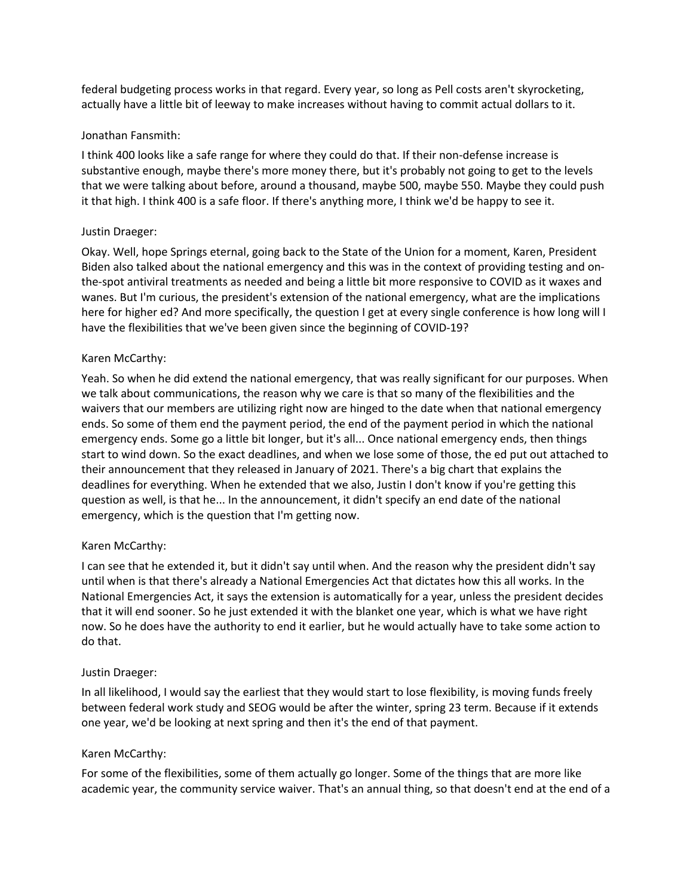federal budgeting process works in that regard. Every year, so long as Pell costs aren't skyrocketing, actually have a little bit of leeway to make increases without having to commit actual dollars to it.

# Jonathan Fansmith:

I think 400 looks like a safe range for where they could do that. If their non-defense increase is substantive enough, maybe there's more money there, but it's probably not going to get to the levels that we were talking about before, around a thousand, maybe 500, maybe 550. Maybe they could push it that high. I think 400 is a safe floor. If there's anything more, I think we'd be happy to see it.

# Justin Draeger:

Okay. Well, hope Springs eternal, going back to the State of the Union for a moment, Karen, President Biden also talked about the national emergency and this was in the context of providing testing and onthe-spot antiviral treatments as needed and being a little bit more responsive to COVID as it waxes and wanes. But I'm curious, the president's extension of the national emergency, what are the implications here for higher ed? And more specifically, the question I get at every single conference is how long will I have the flexibilities that we've been given since the beginning of COVID-19?

## Karen McCarthy:

Yeah. So when he did extend the national emergency, that was really significant for our purposes. When we talk about communications, the reason why we care is that so many of the flexibilities and the waivers that our members are utilizing right now are hinged to the date when that national emergency ends. So some of them end the payment period, the end of the payment period in which the national emergency ends. Some go a little bit longer, but it's all... Once national emergency ends, then things start to wind down. So the exact deadlines, and when we lose some of those, the ed put out attached to their announcement that they released in January of 2021. There's a big chart that explains the deadlines for everything. When he extended that we also, Justin I don't know if you're getting this question as well, is that he... In the announcement, it didn't specify an end date of the national emergency, which is the question that I'm getting now.

#### Karen McCarthy:

I can see that he extended it, but it didn't say until when. And the reason why the president didn't say until when is that there's already a National Emergencies Act that dictates how this all works. In the National Emergencies Act, it says the extension is automatically for a year, unless the president decides that it will end sooner. So he just extended it with the blanket one year, which is what we have right now. So he does have the authority to end it earlier, but he would actually have to take some action to do that.

#### Justin Draeger:

In all likelihood, I would say the earliest that they would start to lose flexibility, is moving funds freely between federal work study and SEOG would be after the winter, spring 23 term. Because if it extends one year, we'd be looking at next spring and then it's the end of that payment.

#### Karen McCarthy:

For some of the flexibilities, some of them actually go longer. Some of the things that are more like academic year, the community service waiver. That's an annual thing, so that doesn't end at the end of a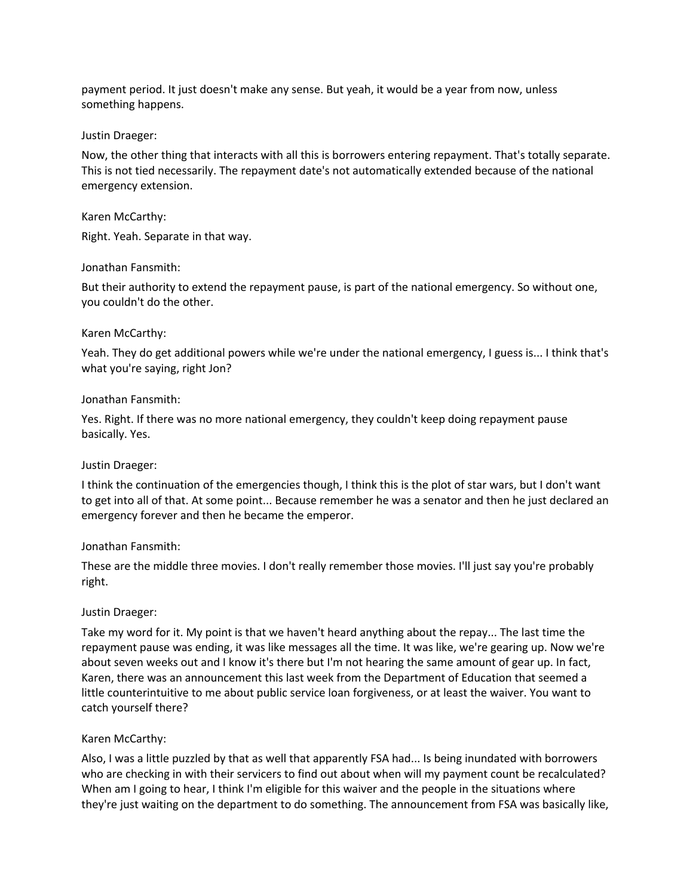payment period. It just doesn't make any sense. But yeah, it would be a year from now, unless something happens.

### Justin Draeger:

Now, the other thing that interacts with all this is borrowers entering repayment. That's totally separate. This is not tied necessarily. The repayment date's not automatically extended because of the national emergency extension.

## Karen McCarthy:

Right. Yeah. Separate in that way.

## Jonathan Fansmith:

But their authority to extend the repayment pause, is part of the national emergency. So without one, you couldn't do the other.

## Karen McCarthy:

Yeah. They do get additional powers while we're under the national emergency, I guess is... I think that's what you're saying, right Jon?

## Jonathan Fansmith:

Yes. Right. If there was no more national emergency, they couldn't keep doing repayment pause basically. Yes.

#### Justin Draeger:

I think the continuation of the emergencies though, I think this is the plot of star wars, but I don't want to get into all of that. At some point... Because remember he was a senator and then he just declared an emergency forever and then he became the emperor.

# Jonathan Fansmith:

These are the middle three movies. I don't really remember those movies. I'll just say you're probably right.

#### Justin Draeger:

Take my word for it. My point is that we haven't heard anything about the repay... The last time the repayment pause was ending, it was like messages all the time. It was like, we're gearing up. Now we're about seven weeks out and I know it's there but I'm not hearing the same amount of gear up. In fact, Karen, there was an announcement this last week from the Department of Education that seemed a little counterintuitive to me about public service loan forgiveness, or at least the waiver. You want to catch yourself there?

# Karen McCarthy:

Also, I was a little puzzled by that as well that apparently FSA had... Is being inundated with borrowers who are checking in with their servicers to find out about when will my payment count be recalculated? When am I going to hear, I think I'm eligible for this waiver and the people in the situations where they're just waiting on the department to do something. The announcement from FSA was basically like,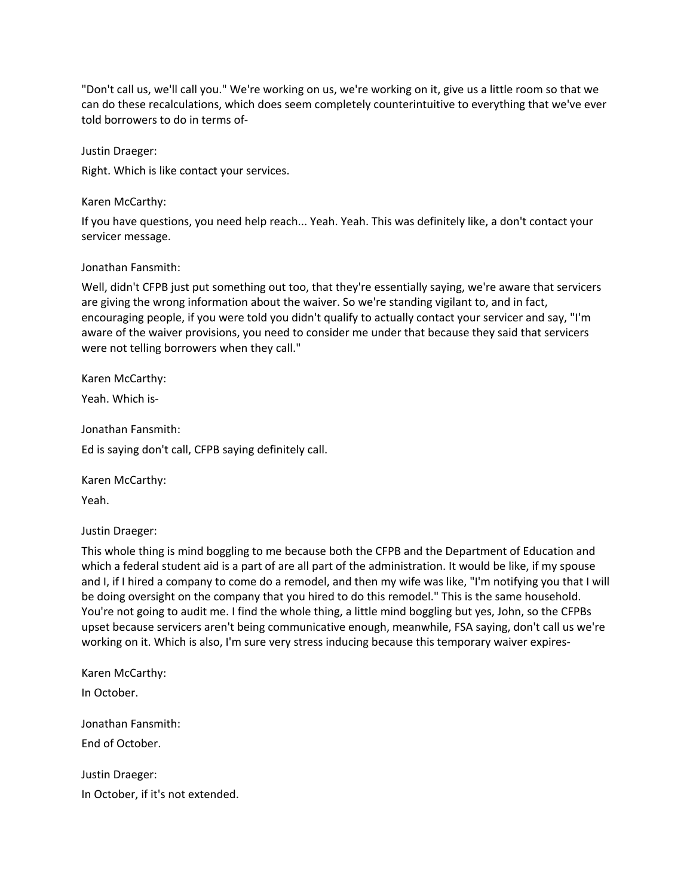"Don't call us, we'll call you." We're working on us, we're working on it, give us a little room so that we can do these recalculations, which does seem completely counterintuitive to everything that we've ever told borrowers to do in terms of-

Justin Draeger:

Right. Which is like contact your services.

Karen McCarthy:

If you have questions, you need help reach... Yeah. Yeah. This was definitely like, a don't contact your servicer message.

## Jonathan Fansmith:

Well, didn't CFPB just put something out too, that they're essentially saying, we're aware that servicers are giving the wrong information about the waiver. So we're standing vigilant to, and in fact, encouraging people, if you were told you didn't qualify to actually contact your servicer and say, "I'm aware of the waiver provisions, you need to consider me under that because they said that servicers were not telling borrowers when they call."

Karen McCarthy:

Yeah. Which is-

Jonathan Fansmith:

Ed is saying don't call, CFPB saying definitely call.

Karen McCarthy:

Yeah.

Justin Draeger:

This whole thing is mind boggling to me because both the CFPB and the Department of Education and which a federal student aid is a part of are all part of the administration. It would be like, if my spouse and I, if I hired a company to come do a remodel, and then my wife was like, "I'm notifying you that I will be doing oversight on the company that you hired to do this remodel." This is the same household. You're not going to audit me. I find the whole thing, a little mind boggling but yes, John, so the CFPBs upset because servicers aren't being communicative enough, meanwhile, FSA saying, don't call us we're working on it. Which is also, I'm sure very stress inducing because this temporary waiver expires-

Karen McCarthy: In October. Jonathan Fansmith: End of October. Justin Draeger:

In October, if it's not extended.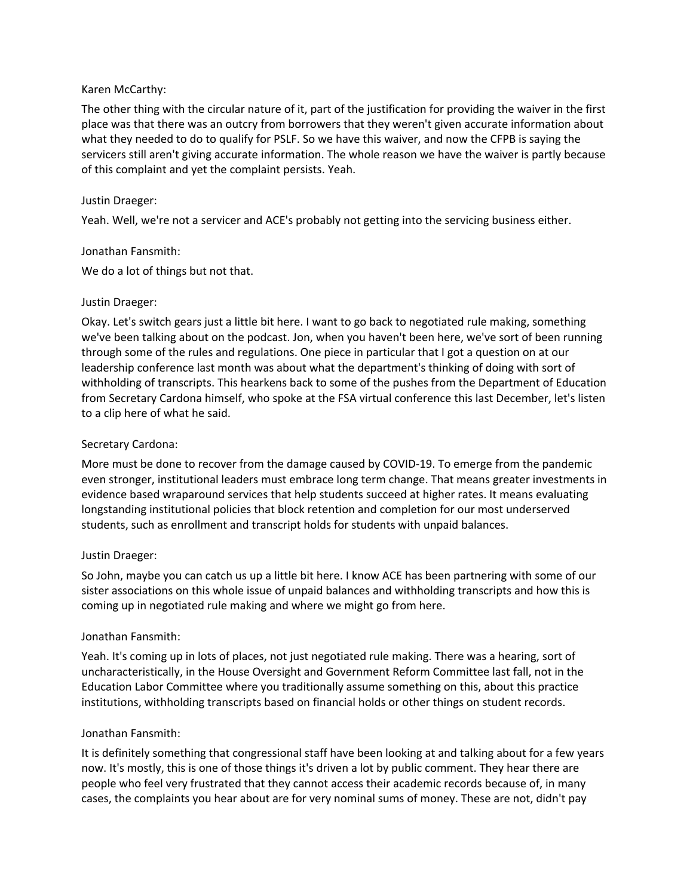# Karen McCarthy:

The other thing with the circular nature of it, part of the justification for providing the waiver in the first place was that there was an outcry from borrowers that they weren't given accurate information about what they needed to do to qualify for PSLF. So we have this waiver, and now the CFPB is saying the servicers still aren't giving accurate information. The whole reason we have the waiver is partly because of this complaint and yet the complaint persists. Yeah.

## Justin Draeger:

Yeah. Well, we're not a servicer and ACE's probably not getting into the servicing business either.

## Jonathan Fansmith:

We do a lot of things but not that.

## Justin Draeger:

Okay. Let's switch gears just a little bit here. I want to go back to negotiated rule making, something we've been talking about on the podcast. Jon, when you haven't been here, we've sort of been running through some of the rules and regulations. One piece in particular that I got a question on at our leadership conference last month was about what the department's thinking of doing with sort of withholding of transcripts. This hearkens back to some of the pushes from the Department of Education from Secretary Cardona himself, who spoke at the FSA virtual conference this last December, let's listen to a clip here of what he said.

## Secretary Cardona:

More must be done to recover from the damage caused by COVID-19. To emerge from the pandemic even stronger, institutional leaders must embrace long term change. That means greater investments in evidence based wraparound services that help students succeed at higher rates. It means evaluating longstanding institutional policies that block retention and completion for our most underserved students, such as enrollment and transcript holds for students with unpaid balances.

#### Justin Draeger:

So John, maybe you can catch us up a little bit here. I know ACE has been partnering with some of our sister associations on this whole issue of unpaid balances and withholding transcripts and how this is coming up in negotiated rule making and where we might go from here.

#### Jonathan Fansmith:

Yeah. It's coming up in lots of places, not just negotiated rule making. There was a hearing, sort of uncharacteristically, in the House Oversight and Government Reform Committee last fall, not in the Education Labor Committee where you traditionally assume something on this, about this practice institutions, withholding transcripts based on financial holds or other things on student records.

#### Jonathan Fansmith:

It is definitely something that congressional staff have been looking at and talking about for a few years now. It's mostly, this is one of those things it's driven a lot by public comment. They hear there are people who feel very frustrated that they cannot access their academic records because of, in many cases, the complaints you hear about are for very nominal sums of money. These are not, didn't pay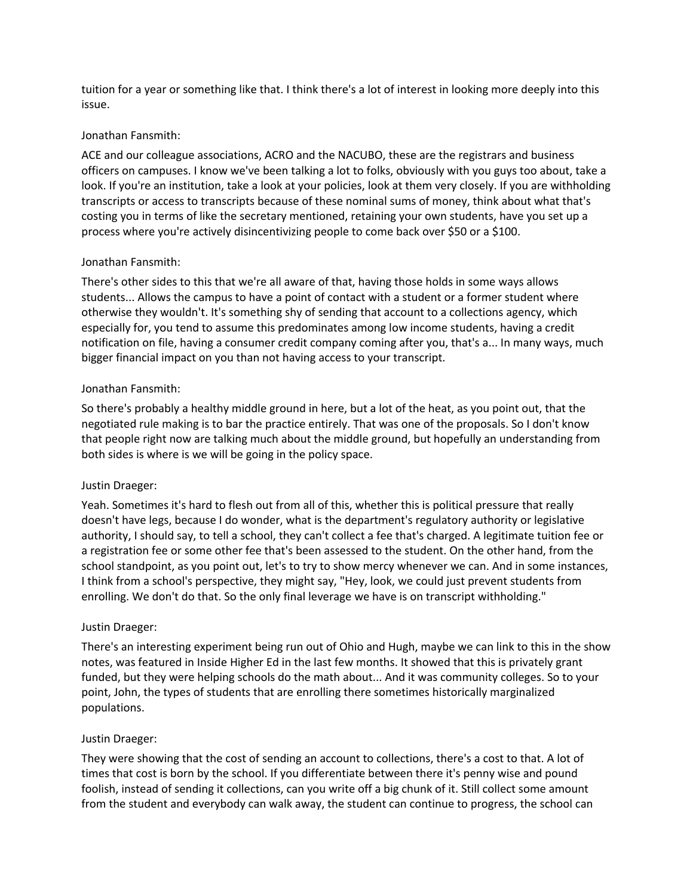tuition for a year or something like that. I think there's a lot of interest in looking more deeply into this issue.

## Jonathan Fansmith:

ACE and our colleague associations, ACRO and the NACUBO, these are the registrars and business officers on campuses. I know we've been talking a lot to folks, obviously with you guys too about, take a look. If you're an institution, take a look at your policies, look at them very closely. If you are withholding transcripts or access to transcripts because of these nominal sums of money, think about what that's costing you in terms of like the secretary mentioned, retaining your own students, have you set up a process where you're actively disincentivizing people to come back over \$50 or a \$100.

# Jonathan Fansmith:

There's other sides to this that we're all aware of that, having those holds in some ways allows students... Allows the campus to have a point of contact with a student or a former student where otherwise they wouldn't. It's something shy of sending that account to a collections agency, which especially for, you tend to assume this predominates among low income students, having a credit notification on file, having a consumer credit company coming after you, that's a... In many ways, much bigger financial impact on you than not having access to your transcript.

## Jonathan Fansmith:

So there's probably a healthy middle ground in here, but a lot of the heat, as you point out, that the negotiated rule making is to bar the practice entirely. That was one of the proposals. So I don't know that people right now are talking much about the middle ground, but hopefully an understanding from both sides is where is we will be going in the policy space.

# Justin Draeger:

Yeah. Sometimes it's hard to flesh out from all of this, whether this is political pressure that really doesn't have legs, because I do wonder, what is the department's regulatory authority or legislative authority, I should say, to tell a school, they can't collect a fee that's charged. A legitimate tuition fee or a registration fee or some other fee that's been assessed to the student. On the other hand, from the school standpoint, as you point out, let's to try to show mercy whenever we can. And in some instances, I think from a school's perspective, they might say, "Hey, look, we could just prevent students from enrolling. We don't do that. So the only final leverage we have is on transcript withholding."

# Justin Draeger:

There's an interesting experiment being run out of Ohio and Hugh, maybe we can link to this in the show notes, was featured in Inside Higher Ed in the last few months. It showed that this is privately grant funded, but they were helping schools do the math about... And it was community colleges. So to your point, John, the types of students that are enrolling there sometimes historically marginalized populations.

#### Justin Draeger:

They were showing that the cost of sending an account to collections, there's a cost to that. A lot of times that cost is born by the school. If you differentiate between there it's penny wise and pound foolish, instead of sending it collections, can you write off a big chunk of it. Still collect some amount from the student and everybody can walk away, the student can continue to progress, the school can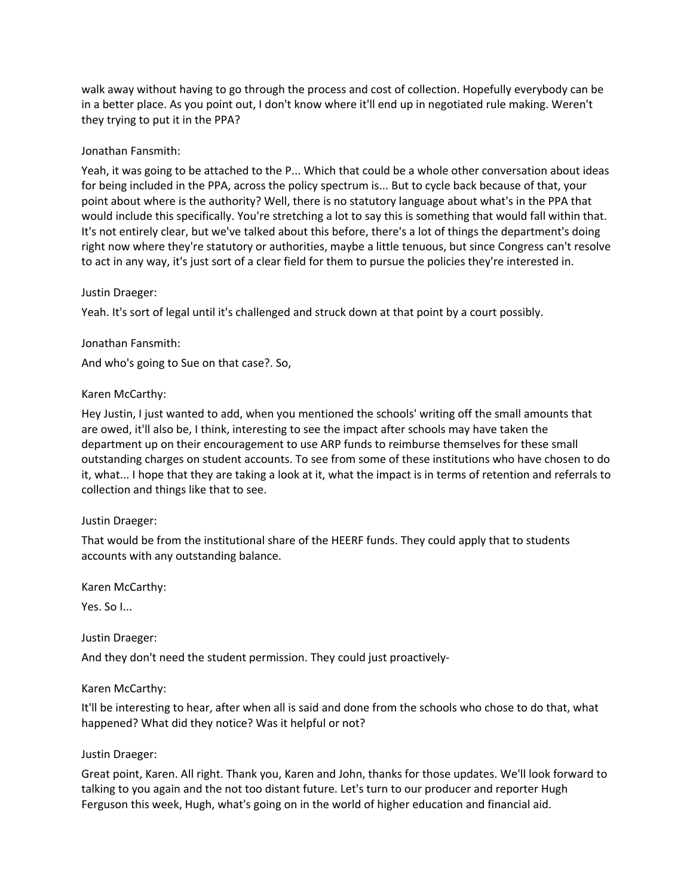walk away without having to go through the process and cost of collection. Hopefully everybody can be in a better place. As you point out, I don't know where it'll end up in negotiated rule making. Weren't they trying to put it in the PPA?

# Jonathan Fansmith:

Yeah, it was going to be attached to the P... Which that could be a whole other conversation about ideas for being included in the PPA, across the policy spectrum is... But to cycle back because of that, your point about where is the authority? Well, there is no statutory language about what's in the PPA that would include this specifically. You're stretching a lot to say this is something that would fall within that. It's not entirely clear, but we've talked about this before, there's a lot of things the department's doing right now where they're statutory or authorities, maybe a little tenuous, but since Congress can't resolve to act in any way, it's just sort of a clear field for them to pursue the policies they're interested in.

# Justin Draeger:

Yeah. It's sort of legal until it's challenged and struck down at that point by a court possibly.

# Jonathan Fansmith:

And who's going to Sue on that case?. So,

# Karen McCarthy:

Hey Justin, I just wanted to add, when you mentioned the schools' writing off the small amounts that are owed, it'll also be, I think, interesting to see the impact after schools may have taken the department up on their encouragement to use ARP funds to reimburse themselves for these small outstanding charges on student accounts. To see from some of these institutions who have chosen to do it, what... I hope that they are taking a look at it, what the impact is in terms of retention and referrals to collection and things like that to see.

# Justin Draeger:

That would be from the institutional share of the HEERF funds. They could apply that to students accounts with any outstanding balance.

Karen McCarthy:

Yes. So I...

Justin Draeger:

And they don't need the student permission. They could just proactively-

# Karen McCarthy:

It'll be interesting to hear, after when all is said and done from the schools who chose to do that, what happened? What did they notice? Was it helpful or not?

# Justin Draeger:

Great point, Karen. All right. Thank you, Karen and John, thanks for those updates. We'll look forward to talking to you again and the not too distant future. Let's turn to our producer and reporter Hugh Ferguson this week, Hugh, what's going on in the world of higher education and financial aid.